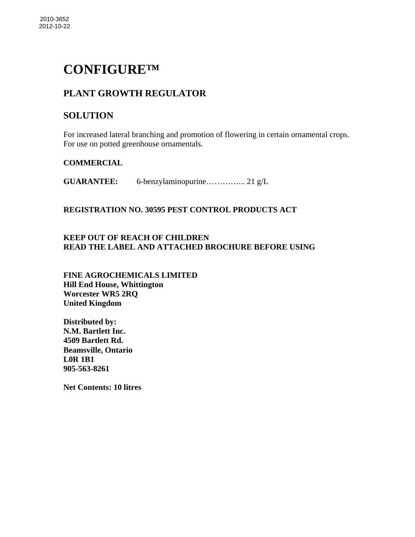# **CONFIGURE™**

# **PLANT GROWTH REGULATOR**

# **SOLUTION**

For increased lateral branching and promotion of flowering in certain ornamental crops. For use on potted greenhouse ornamentals.

# **COMMERCIAL**

**GUARANTEE:** 6-benzylaminopurine…………... 21 g/L

#### **REGISTRATION NO. 30595 PEST CONTROL PRODUCTS ACT**

# **KEEP OUT OF REACH OF CHILDREN READ THE LABEL AND ATTACHED BROCHURE BEFORE USING**

**FINE AGROCHEMICALS LIMITED Hill End House, Whittington Worcester WR5 2RQ United Kingdom** 

**Distributed by: N.M. Bartlett Inc. 4509 Bartlett Rd. Beamsville, Ontario L0R 1B1 905-563-8261** 

**Net Contents: 10 litres**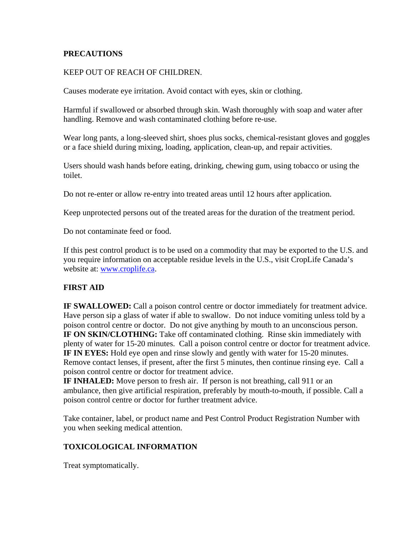#### **PRECAUTIONS**

#### KEEP OUT OF REACH OF CHILDREN.

Causes moderate eye irritation. Avoid contact with eyes, skin or clothing.

Harmful if swallowed or absorbed through skin. Wash thoroughly with soap and water after handling. Remove and wash contaminated clothing before re-use.

Wear long pants, a long-sleeved shirt, shoes plus socks, chemical-resistant gloves and goggles or a face shield during mixing, loading, application, clean-up, and repair activities.

Users should wash hands before eating, drinking, chewing gum, using tobacco or using the toilet.

Do not re-enter or allow re-entry into treated areas until 12 hours after application.

Keep unprotected persons out of the treated areas for the duration of the treatment period.

Do not contaminate feed or food.

If this pest control product is to be used on a commodity that may be exported to the U.S. and you require information on acceptable residue levels in the U.S., visit CropLife Canada's website at: www.croplife.ca.

#### **FIRST AID**

**IF SWALLOWED:** Call a poison control centre or doctor immediately for treatment advice. Have person sip a glass of water if able to swallow. Do not induce vomiting unless told by a poison control centre or doctor. Do not give anything by mouth to an unconscious person. **IF ON SKIN/CLOTHING:** Take off contaminated clothing. Rinse skin immediately with plenty of water for 15-20 minutes. Call a poison control centre or doctor for treatment advice. **IF IN EYES:** Hold eye open and rinse slowly and gently with water for 15-20 minutes. Remove contact lenses, if present, after the first 5 minutes, then continue rinsing eye. Call a poison control centre or doctor for treatment advice.

**IF INHALED:** Move person to fresh air. If person is not breathing, call 911 or an ambulance, then give artificial respiration, preferably by mouth-to-mouth, if possible. Call a poison control centre or doctor for further treatment advice.

Take container, label, or product name and Pest Control Product Registration Number with you when seeking medical attention.

#### **TOXICOLOGICAL INFORMATION**

Treat symptomatically.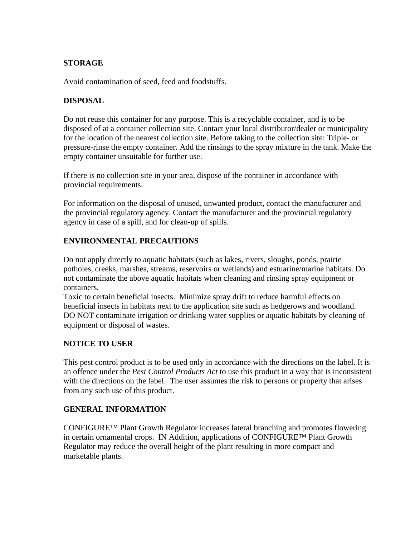# **STORAGE**

Avoid contamination of seed, feed and foodstuffs.

#### **DISPOSAL**

Do not reuse this container for any purpose. This is a recyclable container, and is to be disposed of at a container collection site. Contact your local distributor/dealer or municipality for the location of the nearest collection site. Before taking to the collection site: Triple- or pressure-rinse the empty container. Add the rinsings to the spray mixture in the tank. Make the empty container unsuitable for further use.

If there is no collection site in your area, dispose of the container in accordance with provincial requirements.

For information on the disposal of unused, unwanted product, contact the manufacturer and the provincial regulatory agency. Contact the manufacturer and the provincial regulatory agency in case of a spill, and for clean-up of spills.

# **ENVIRONMENTAL PRECAUTIONS**

Do not apply directly to aquatic habitats (such as lakes, rivers, sloughs, ponds, prairie potholes, creeks, marshes, streams, reservoirs or wetlands) and estuarine/marine habitats. Do not contaminate the above aquatic habitats when cleaning and rinsing spray equipment or containers.

Toxic to certain beneficial insects. Minimize spray drift to reduce harmful effects on beneficial insects in habitats next to the application site such as hedgerows and woodland. DO NOT contaminate irrigation or drinking water supplies or aquatic habitats by cleaning of equipment or disposal of wastes.

#### **NOTICE TO USER**

This pest control product is to be used only in accordance with the directions on the label. It is an offence under the *Pest Control Products Act* to use this product in a way that is inconsistent with the directions on the label. The user assumes the risk to persons or property that arises from any such use of this product.

#### **GENERAL INFORMATION**

CONFIGURE™ Plant Growth Regulator increases lateral branching and promotes flowering in certain ornamental crops. IN Addition, applications of CONFIGURE™ Plant Growth Regulator may reduce the overall height of the plant resulting in more compact and marketable plants.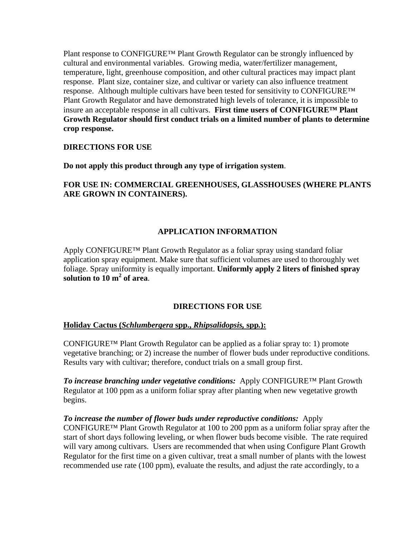Plant response to CONFIGURE™ Plant Growth Regulator can be strongly influenced by cultural and environmental variables. Growing media, water/fertilizer management, temperature, light, greenhouse composition, and other cultural practices may impact plant response. Plant size, container size, and cultivar or variety can also influence treatment response. Although multiple cultivars have been tested for sensitivity to CONFIGURE™ Plant Growth Regulator and have demonstrated high levels of tolerance, it is impossible to insure an acceptable response in all cultivars. **First time users of CONFIGURE™ Plant Growth Regulator should first conduct trials on a limited number of plants to determine crop response.** 

#### **DIRECTIONS FOR USE**

**Do not apply this product through any type of irrigation system**.

#### **FOR USE IN: COMMERCIAL GREENHOUSES, GLASSHOUSES (WHERE PLANTS ARE GROWN IN CONTAINERS).**

# **APPLICATION INFORMATION**

Apply CONFIGURE™ Plant Growth Regulator as a foliar spray using standard foliar application spray equipment. Make sure that sufficient volumes are used to thoroughly wet foliage. Spray uniformity is equally important. **Uniformly apply 2 liters of finished spray solution to 10 m<sup>2</sup> of area**.

#### **DIRECTIONS FOR USE**

#### **Holiday Cactus (***Schlumbergera* **spp.,** *Rhipsalidopsis,* **spp***.***):**

CONFIGURE™ Plant Growth Regulator can be applied as a foliar spray to: 1) promote vegetative branching; or 2) increase the number of flower buds under reproductive conditions. Results vary with cultivar; therefore, conduct trials on a small group first.

*To increase branching under vegetative conditions:*Apply CONFIGURE™ Plant Growth Regulator at 100 ppm as a uniform foliar spray after planting when new vegetative growth begins.

*To increase the number of flower buds under reproductive conditions:* Apply CONFIGURE™ Plant Growth Regulator at 100 to 200 ppm as a uniform foliar spray after the start of short days following leveling, or when flower buds become visible. The rate required will vary among cultivars. Users are recommended that when using Configure Plant Growth Regulator for the first time on a given cultivar, treat a small number of plants with the lowest recommended use rate (100 ppm), evaluate the results, and adjust the rate accordingly, to a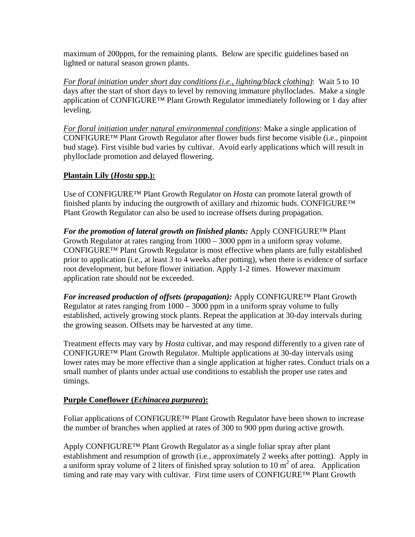maximum of 200ppm, for the remaining plants. Below are specific guidelines based on lighted or natural season grown plants.

*For floral initiation under short day conditions (i.e., lighting/black clothing)*: Wait 5 to 10 days after the start of short days to level by removing immature phylloclades. Make a single application of CONFIGURE™ Plant Growth Regulator immediately following or 1 day after leveling.

*For floral initiation under natural environmental conditions*: Make a single application of CONFIGURE™ Plant Growth Regulator after flower buds first become visible (i.e., pinpoint bud stage). First visible bud varies by cultivar. Avoid early applications which will result in phylloclade promotion and delayed flowering.

# **Plantain Lily (***Hosta* **spp.):**

Use of CONFIGURE™ Plant Growth Regulator on *Hosta* can promote lateral growth of finished plants by inducing the outgrowth of axillary and rhizomic buds. CONFIGURE™ Plant Growth Regulator can also be used to increase offsets during propagation.

*For the promotion of lateral growth on finished plants:* Apply CONFIGURE™ Plant Growth Regulator at rates ranging from 1000 – 3000 ppm in a uniform spray volume. CONFIGURE™ Plant Growth Regulator is most effective when plants are fully established prior to application (i.e., at least 3 to 4 weeks after potting), when there is evidence of surface root development, but before flower initiation. Apply 1-2 times. However maximum application rate should not be exceeded.

*For increased production of offsets (propagation):* Apply CONFIGURE™ Plant Growth Regulator at rates ranging from 1000 – 3000 ppm in a uniform spray volume to fully established, actively growing stock plants. Repeat the application at 30-day intervals during the growing season. Offsets may be harvested at any time.

Treatment effects may vary by *Hosta* cultivar, and may respond differently to a given rate of CONFIGURE™ Plant Growth Regulator. Multiple applications at 30-day intervals using lower rates may be more effective than a single application at higher rates. Conduct trials on a small number of plants under actual use conditions to establish the proper use rates and timings.

#### **Purple Coneflower (***Echinacea purpurea***):**

Foliar applications of CONFIGURE™ Plant Growth Regulator have been shown to increase the number of branches when applied at rates of 300 to 900 ppm during active growth.

Apply CONFIGURE™ Plant Growth Regulator as a single foliar spray after plant establishment and resumption of growth (i.e., approximately 2 weeks after potting). Apply in a uniform spray volume of 2 liters of finished spray solution to  $10 \text{ m}^2$  of area. Application timing and rate may vary with cultivar. First time users of CONFIGURE™ Plant Growth